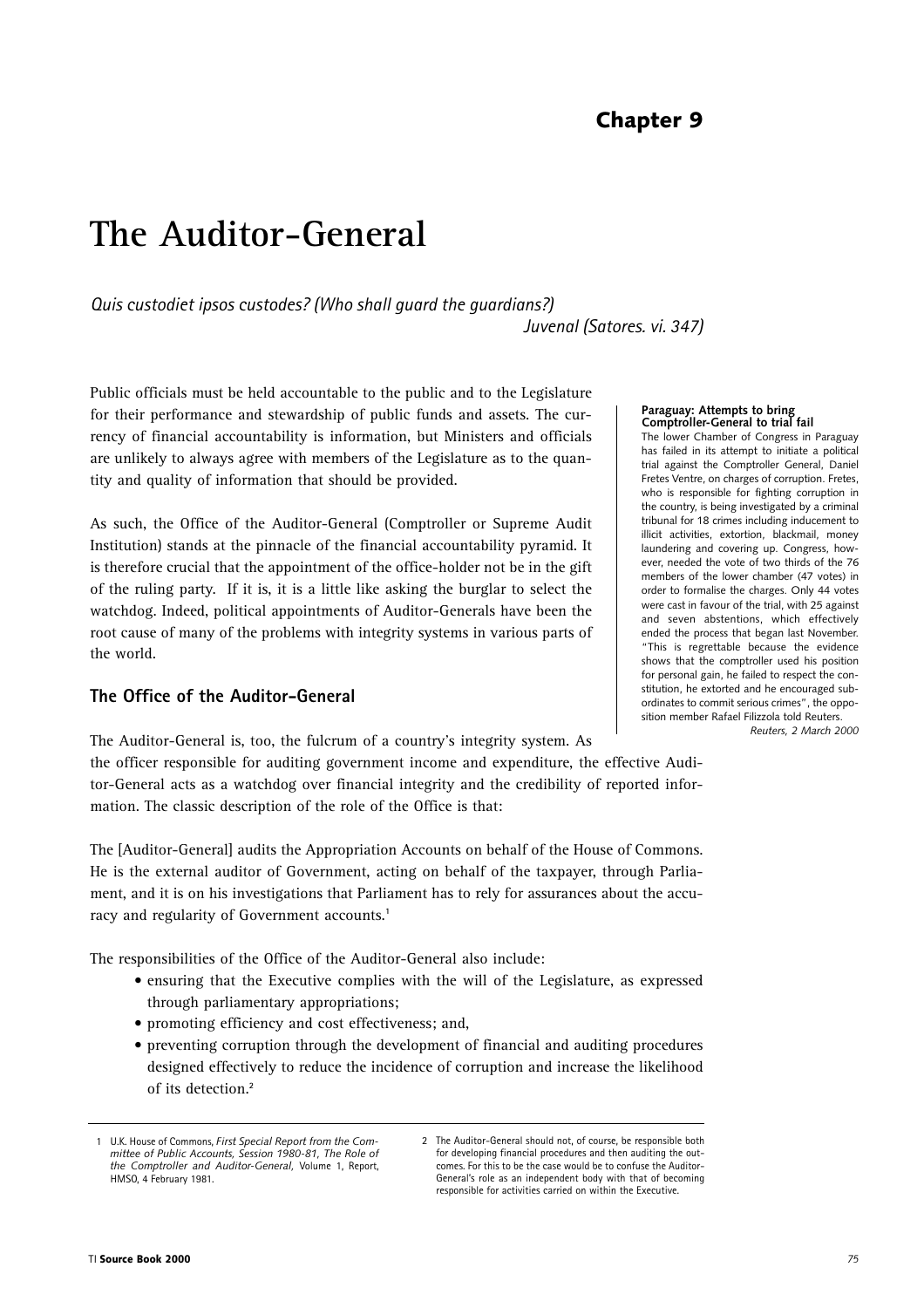# **The Auditor-General**

*Quis custodiet ipsos custodes? (Who shall guard the guardians?) Juvenal (Satores. vi. 347)*

Public officials must be held accountable to the public and to the Legislature for their performance and stewardship of public funds and assets. The currency of financial accountability is information, but Ministers and officials are unlikely to always agree with members of the Legislature as to the quantity and quality of information that should be provided.

As such, the Office of the Auditor-General (Comptroller or Supreme Audit Institution) stands at the pinnacle of the financial accountability pyramid. It is therefore crucial that the appointment of the office-holder not be in the gift of the ruling party. If it is, it is a little like asking the burglar to select the watchdog. Indeed, political appointments of Auditor-Generals have been the root cause of many of the problems with integrity systems in various parts of the world.

# **The Office of the Auditor-General**

The Auditor-General is, too, the fulcrum of a country's integrity system. As the officer responsible for auditing government income and expenditure, the effective Auditor-General acts as a watchdog over financial integrity and the credibility of reported information. The classic description of the role of the Office is that:

The [Auditor-General] audits the Appropriation Accounts on behalf of the House of Commons. He is the external auditor of Government, acting on behalf of the taxpayer, through Parliament, and it is on his investigations that Parliament has to rely for assurances about the accuracy and regularity of Government accounts.**<sup>1</sup>**

The responsibilities of the Office of the Auditor-General also include:

- ensuring that the Executive complies with the will of the Legislature, as expressed through parliamentary appropriations;
- promoting efficiency and cost effectiveness; and,
- preventing corruption through the development of financial and auditing procedures designed effectively to reduce the incidence of corruption and increase the likelihood of its detection.**<sup>2</sup>**

#### **Paraguay: Attempts to bring Comptroller-General to trial fail**

The lower Chamber of Congress in Paraguay has failed in its attempt to initiate a political trial against the Comptroller General, Daniel Fretes Ventre, on charges of corruption. Fretes, who is responsible for fighting corruption in the country, is being investigated by a criminal tribunal for 18 crimes including inducement to illicit activities, extortion, blackmail, money laundering and covering up. Congress, however, needed the vote of two thirds of the 76 members of the lower chamber (47 votes) in order to formalise the charges. Only 44 votes were cast in favour of the trial, with 25 against and seven abstentions, which effectively ended the process that began last November. "This is regrettable because the evidence shows that the comptroller used his position for personal gain, he failed to respect the constitution, he extorted and he encouraged subordinates to commit serious crimes", the opposition member Rafael Filizzola told Reuters.

*Reuters, 2 March 2000*

<sup>1</sup> U.K. House of Commons, *First Special Report from the Committee of Public Accounts, Session 1980-81, The Role of the Comptroller and Auditor-General,* Volume 1, Report, HMSO, 4 February 1981.

<sup>2</sup> The Auditor-General should not, of course, be responsible both for developing financial procedures and then auditing the outcomes. For this to be the case would be to confuse the Auditor-General's role as an independent body with that of becoming responsible for activities carried on within the Executive.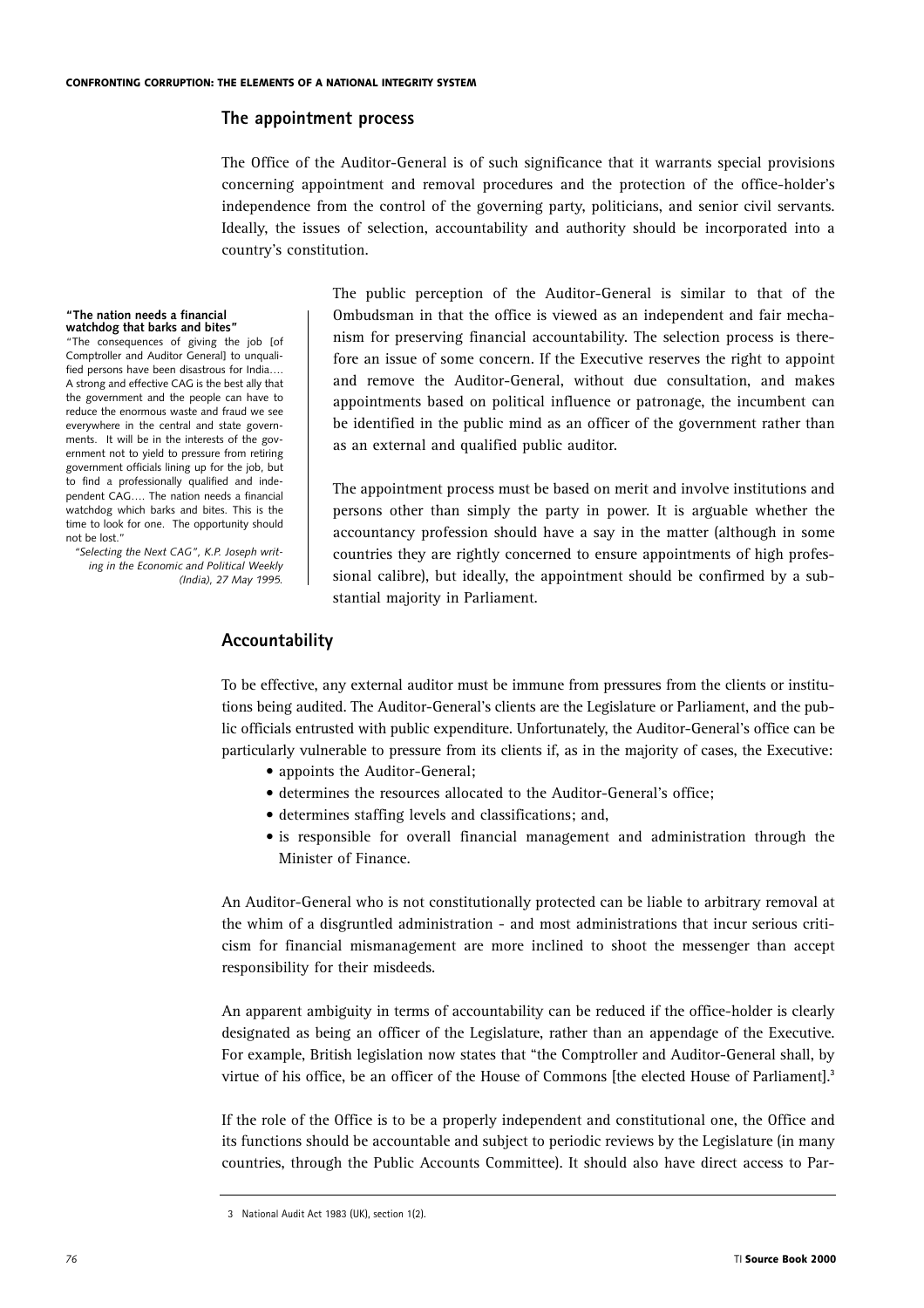## **The appointment process**

The Office of the Auditor-General is of such significance that it warrants special provisions concerning appointment and removal procedures and the protection of the office-holder's independence from the control of the governing party, politicians, and senior civil servants. Ideally, the issues of selection, accountability and authority should be incorporated into a country's constitution.

#### **"The nation needs a financial watchdog that barks and bites"**

"The consequences of giving the job [of Comptroller and Auditor General] to unqualified persons have been disastrous for India…. A strong and effective CAG is the best ally that the government and the people can have to reduce the enormous waste and fraud we see everywhere in the central and state governments. It will be in the interests of the government not to yield to pressure from retiring government officials lining up for the job, but to find a professionally qualified and independent CAG…. The nation needs a financial watchdog which barks and bites. This is the time to look for one. The opportunity should not be lost."

*"Selecting the Next CAG", K.P. Joseph writing in the Economic and Political Weekly (India), 27 May 1995.* The public perception of the Auditor-General is similar to that of the Ombudsman in that the office is viewed as an independent and fair mechanism for preserving financial accountability. The selection process is therefore an issue of some concern. If the Executive reserves the right to appoint and remove the Auditor-General, without due consultation, and makes appointments based on political influence or patronage, the incumbent can be identified in the public mind as an officer of the government rather than as an external and qualified public auditor.

The appointment process must be based on merit and involve institutions and persons other than simply the party in power. It is arguable whether the accountancy profession should have a say in the matter (although in some countries they are rightly concerned to ensure appointments of high professional calibre), but ideally, the appointment should be confirmed by a substantial majority in Parliament.

# **Accountability**

To be effective, any external auditor must be immune from pressures from the clients or institutions being audited. The Auditor-General's clients are the Legislature or Parliament, and the public officials entrusted with public expenditure. Unfortunately, the Auditor-General's office can be particularly vulnerable to pressure from its clients if, as in the majority of cases, the Executive:

- appoints the Auditor-General;
- determines the resources allocated to the Auditor-General's office;
- determines staffing levels and classifications; and,
- is responsible for overall financial management and administration through the Minister of Finance.

An Auditor-General who is not constitutionally protected can be liable to arbitrary removal at the whim of a disgruntled administration - and most administrations that incur serious criticism for financial mismanagement are more inclined to shoot the messenger than accept responsibility for their misdeeds.

An apparent ambiguity in terms of accountability can be reduced if the office-holder is clearly designated as being an officer of the Legislature, rather than an appendage of the Executive. For example, British legislation now states that "the Comptroller and Auditor-General shall, by virtue of his office, be an officer of the House of Commons [the elected House of Parliament].**<sup>3</sup>**

If the role of the Office is to be a properly independent and constitutional one, the Office and its functions should be accountable and subject to periodic reviews by the Legislature (in many countries, through the Public Accounts Committee). It should also have direct access to Par-

<sup>3</sup> National Audit Act 1983 (UK), section 1(2).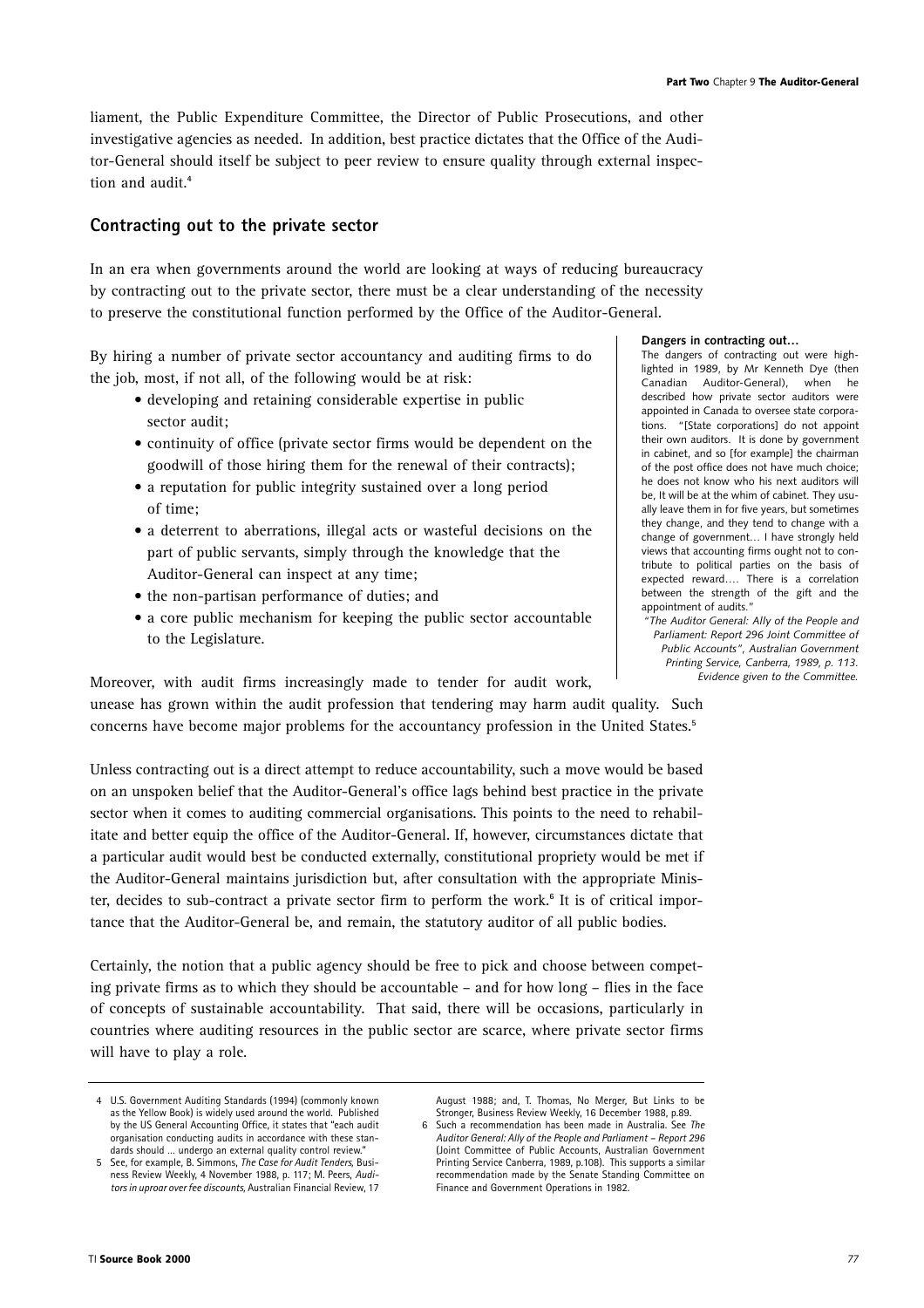liament, the Public Expenditure Committee, the Director of Public Prosecutions, and other investigative agencies as needed. In addition, best practice dictates that the Office of the Auditor-General should itself be subject to peer review to ensure quality through external inspection and audit.**<sup>4</sup>**

# **Contracting out to the private sector**

In an era when governments around the world are looking at ways of reducing bureaucracy by contracting out to the private sector, there must be a clear understanding of the necessity to preserve the constitutional function performed by the Office of the Auditor-General.

By hiring a number of private sector accountancy and auditing firms to do the job, most, if not all, of the following would be at risk:

- developing and retaining considerable expertise in public sector audit;
- continuity of office (private sector firms would be dependent on the goodwill of those hiring them for the renewal of their contracts);
- a reputation for public integrity sustained over a long period of time;
- a deterrent to aberrations, illegal acts or wasteful decisions on the part of public servants, simply through the knowledge that the Auditor-General can inspect at any time;
- the non-partisan performance of duties; and
- a core public mechanism for keeping the public sector accountable to the Legislature.

Moreover, with audit firms increasingly made to tender for audit work,

unease has grown within the audit profession that tendering may harm audit quality. Such concerns have become major problems for the accountancy profession in the United States.**<sup>5</sup>**

Unless contracting out is a direct attempt to reduce accountability, such a move would be based on an unspoken belief that the Auditor-General's office lags behind best practice in the private sector when it comes to auditing commercial organisations. This points to the need to rehabilitate and better equip the office of the Auditor-General. If, however, circumstances dictate that a particular audit would best be conducted externally, constitutional propriety would be met if the Auditor-General maintains jurisdiction but, after consultation with the appropriate Minister, decides to sub-contract a private sector firm to perform the work.**<sup>6</sup>** It is of critical importance that the Auditor-General be, and remain, the statutory auditor of all public bodies.

Certainly, the notion that a public agency should be free to pick and choose between competing private firms as to which they should be accountable – and for how long – flies in the face of concepts of sustainable accountability. That said, there will be occasions, particularly in countries where auditing resources in the public sector are scarce, where private sector firms will have to play a role.

#### **Dangers in contracting out…**

The dangers of contracting out were highlighted in 1989, by Mr Kenneth Dye (then Canadian Auditor-General), when described how private sector auditors were appointed in Canada to oversee state corporations. "[State corporations] do not appoint their own auditors. It is done by government in cabinet, and so [for example] the chairman of the post office does not have much choice; he does not know who his next auditors will be, It will be at the whim of cabinet. They usually leave them in for five years, but sometimes they change, and they tend to change with a change of government… I have strongly held views that accounting firms ought not to contribute to political parties on the basis of expected reward…. There is a correlation between the strength of the gift and the appointment of audits."

*"The Auditor General: Ally of the People and Parliament: Report 296 Joint Committee of Public Accounts", Australian Government Printing Service, Canberra, 1989, p. 113. Evidence given to the Committee.*

<sup>4</sup> U.S. Government Auditing Standards (1994) (commonly known as the Yellow Book) is widely used around the world. Published by the US General Accounting Office, it states that "each audit organisation conducting audits in accordance with these standards should … undergo an external quality control review."

<sup>5</sup> See, for example, B. Simmons, *The Case for Audit Tenders,* Business Review Weekly, 4 November 1988, p. 117; M. Peers, *Auditors in uproar over fee discounts,* Australian Financial Review, 17

August 1988; and T. Thomas, No Merger, But Links to be

Stronger, Business Review Weekly, 16 December 1988, p.89. 6 Such a recommendation has been made in Australia. See *The Auditor General: Ally of the People and Parliament – Report 296* (Joint Committee of Public Accounts, Australian Government Printing Service Canberra, 1989, p.108). This supports a similar recommendation made by the Senate Standing Committee on Finance and Government Operations in 1982.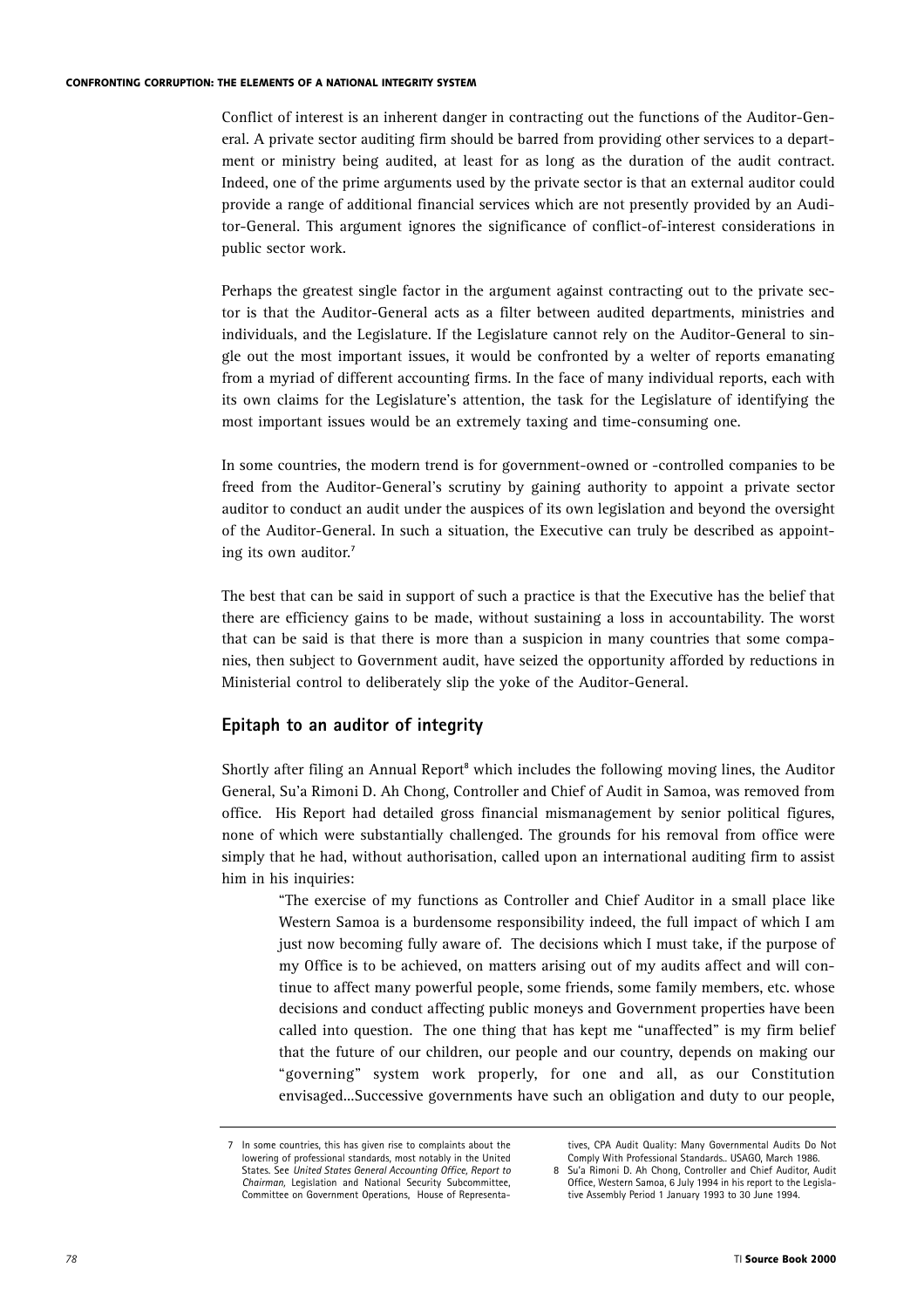#### **CONFRONTING CORRUPTION: THE ELEMENTS OF A NATIONAL INTEGRITY SYSTEM**

Conflict of interest is an inherent danger in contracting out the functions of the Auditor-General. A private sector auditing firm should be barred from providing other services to a department or ministry being audited, at least for as long as the duration of the audit contract. Indeed, one of the prime arguments used by the private sector is that an external auditor could provide a range of additional financial services which are not presently provided by an Auditor-General. This argument ignores the significance of conflict-of-interest considerations in public sector work.

Perhaps the greatest single factor in the argument against contracting out to the private sector is that the Auditor-General acts as a filter between audited departments, ministries and individuals, and the Legislature. If the Legislature cannot rely on the Auditor-General to single out the most important issues, it would be confronted by a welter of reports emanating from a myriad of different accounting firms. In the face of many individual reports, each with its own claims for the Legislature's attention, the task for the Legislature of identifying the most important issues would be an extremely taxing and time-consuming one.

In some countries, the modern trend is for government-owned or -controlled companies to be freed from the Auditor-General's scrutiny by gaining authority to appoint a private sector auditor to conduct an audit under the auspices of its own legislation and beyond the oversight of the Auditor-General. In such a situation, the Executive can truly be described as appointing its own auditor.**<sup>7</sup>**

The best that can be said in support of such a practice is that the Executive has the belief that there are efficiency gains to be made, without sustaining a loss in accountability. The worst that can be said is that there is more than a suspicion in many countries that some companies, then subject to Government audit, have seized the opportunity afforded by reductions in Ministerial control to deliberately slip the yoke of the Auditor-General.

# **Epitaph to an auditor of integrity**

Shortly after filing an Annual Report**<sup>8</sup>** which includes the following moving lines, the Auditor General, Su'a Rimoni D. Ah Chong, Controller and Chief of Audit in Samoa, was removed from office. His Report had detailed gross financial mismanagement by senior political figures, none of which were substantially challenged. The grounds for his removal from office were simply that he had, without authorisation, called upon an international auditing firm to assist him in his inquiries:

"The exercise of my functions as Controller and Chief Auditor in a small place like Western Samoa is a burdensome responsibility indeed, the full impact of which I am just now becoming fully aware of. The decisions which I must take, if the purpose of my Office is to be achieved, on matters arising out of my audits affect and will continue to affect many powerful people, some friends, some family members, etc. whose decisions and conduct affecting public moneys and Government properties have been called into question. The one thing that has kept me "unaffected" is my firm belief that the future of our children, our people and our country, depends on making our "governing" system work properly, for one and all, as our Constitution envisaged...Successive governments have such an obligation and duty to our people,

tives, CPA Audit Quality: Many Governmental Audits Do Not Comply With Professional Standards.. USAGO, March 1986.

In some countries, this has given rise to complaints about the lowering of professional standards, most notably in the United States. See *United States General Accounting Office, Report to Chairman,* Legislation and National Security Subcommittee, Committee on Government Operations, House of Representa-

<sup>8</sup> Su'a Rimoni D. Ah Chong, Controller and Chief Auditor, Audit Office, Western Samoa, 6 July 1994 in his report to the Legislative Assembly Period 1 January 1993 to 30 June 1994.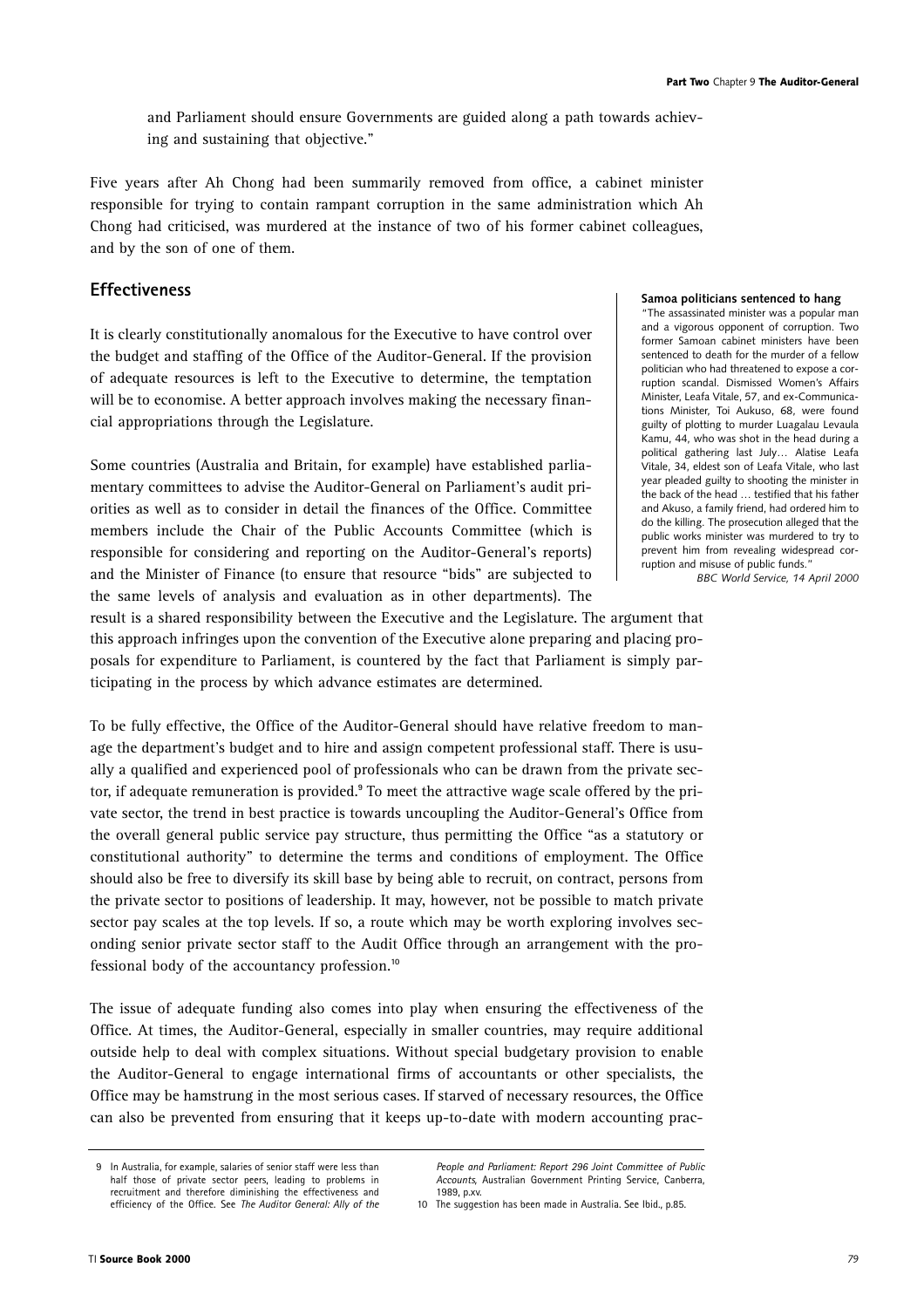and Parliament should ensure Governments are guided along a path towards achieving and sustaining that objective."

Five years after Ah Chong had been summarily removed from office, a cabinet minister responsible for trying to contain rampant corruption in the same administration which Ah Chong had criticised, was murdered at the instance of two of his former cabinet colleagues, and by the son of one of them.

# **Effectiveness**

It is clearly constitutionally anomalous for the Executive to have control over the budget and staffing of the Office of the Auditor-General. If the provision of adequate resources is left to the Executive to determine, the temptation will be to economise. A better approach involves making the necessary financial appropriations through the Legislature.

Some countries (Australia and Britain, for example) have established parliamentary committees to advise the Auditor-General on Parliament's audit priorities as well as to consider in detail the finances of the Office. Committee members include the Chair of the Public Accounts Committee (which is responsible for considering and reporting on the Auditor-General's reports) and the Minister of Finance (to ensure that resource "bids" are subjected to the same levels of analysis and evaluation as in other departments). The

#### **Samoa politicians sentenced to hang**

"The assassinated minister was a popular man and a vigorous opponent of corruption. Two former Samoan cabinet ministers have been sentenced to death for the murder of a fellow politician who had threatened to expose a corruption scandal. Dismissed Women's Affairs Minister, Leafa Vitale, 57, and ex-Communications Minister, Toi Aukuso, 68, were found guilty of plotting to murder Luagalau Levaula Kamu, 44, who was shot in the head during a political gathering last July… Alatise Leafa Vitale, 34, eldest son of Leafa Vitale, who last year pleaded guilty to shooting the minister in the back of the head … testified that his father and Akuso, a family friend, had ordered him to do the killing. The prosecution alleged that the public works minister was murdered to try to prevent him from revealing widespread corruption and misuse of public funds."

*BBC World Service, 14 April 2000*

result is a shared responsibility between the Executive and the Legislature. The argument that this approach infringes upon the convention of the Executive alone preparing and placing proposals for expenditure to Parliament, is countered by the fact that Parliament is simply participating in the process by which advance estimates are determined.

To be fully effective, the Office of the Auditor-General should have relative freedom to manage the department's budget and to hire and assign competent professional staff. There is usually a qualified and experienced pool of professionals who can be drawn from the private sector, if adequate remuneration is provided.**<sup>9</sup>** To meet the attractive wage scale offered by the private sector, the trend in best practice is towards uncoupling the Auditor-General's Office from the overall general public service pay structure, thus permitting the Office "as a statutory or constitutional authority" to determine the terms and conditions of employment. The Office should also be free to diversify its skill base by being able to recruit, on contract, persons from the private sector to positions of leadership. It may, however, not be possible to match private sector pay scales at the top levels. If so, a route which may be worth exploring involves seconding senior private sector staff to the Audit Office through an arrangement with the professional body of the accountancy profession.**<sup>10</sup>**

The issue of adequate funding also comes into play when ensuring the effectiveness of the Office. At times, the Auditor-General, especially in smaller countries, may require additional outside help to deal with complex situations. Without special budgetary provision to enable the Auditor-General to engage international firms of accountants or other specialists, the Office may be hamstrung in the most serious cases. If starved of necessary resources, the Office can also be prevented from ensuring that it keeps up-to-date with modern accounting prac-

<sup>9</sup> In Australia, for example, salaries of senior staff were less than half those of private sector peers, leading to problems in recruitment and therefore diminishing the effectiveness and efficiency of the Office. See *The Auditor General: Ally of the*

*People and Parliament: Report 296 Joint Committee of Public Accounts,* Australian Government Printing Service, Canberra, 1989, p.xv.

<sup>10</sup> The suggestion has been made in Australia. See Ibid., p.85.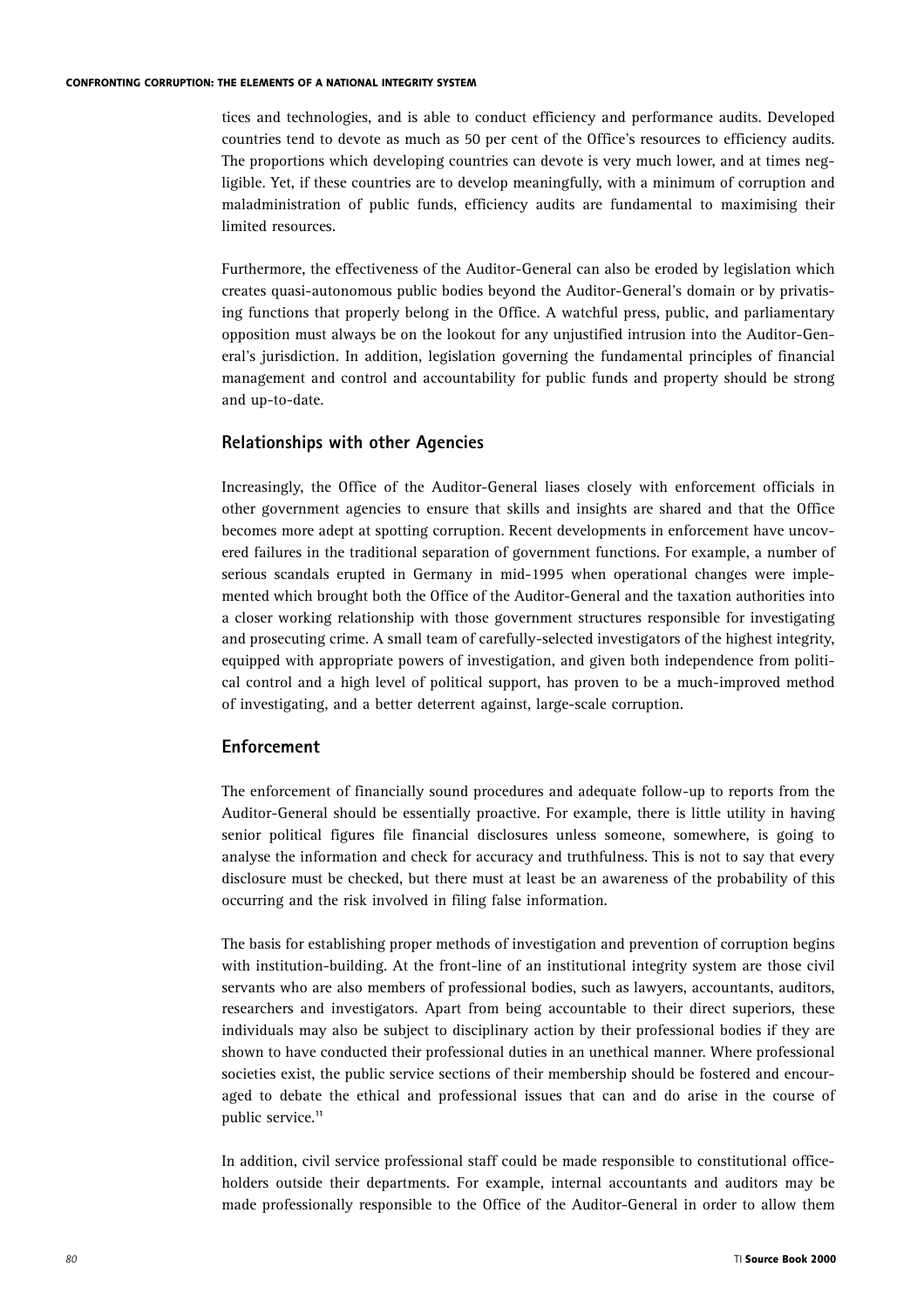tices and technologies, and is able to conduct efficiency and performance audits. Developed countries tend to devote as much as 50 per cent of the Office's resources to efficiency audits. The proportions which developing countries can devote is very much lower, and at times negligible. Yet, if these countries are to develop meaningfully, with a minimum of corruption and maladministration of public funds, efficiency audits are fundamental to maximising their limited resources.

Furthermore, the effectiveness of the Auditor-General can also be eroded by legislation which creates quasi-autonomous public bodies beyond the Auditor-General's domain or by privatising functions that properly belong in the Office. A watchful press, public, and parliamentary opposition must always be on the lookout for any unjustified intrusion into the Auditor-General's jurisdiction. In addition, legislation governing the fundamental principles of financial management and control and accountability for public funds and property should be strong and up-to-date.

## **Relationships with other Agencies**

Increasingly, the Office of the Auditor-General liases closely with enforcement officials in other government agencies to ensure that skills and insights are shared and that the Office becomes more adept at spotting corruption. Recent developments in enforcement have uncovered failures in the traditional separation of government functions. For example, a number of serious scandals erupted in Germany in mid-1995 when operational changes were implemented which brought both the Office of the Auditor-General and the taxation authorities into a closer working relationship with those government structures responsible for investigating and prosecuting crime. A small team of carefully-selected investigators of the highest integrity, equipped with appropriate powers of investigation, and given both independence from political control and a high level of political support, has proven to be a much-improved method of investigating, and a better deterrent against, large-scale corruption.

# **Enforcement**

The enforcement of financially sound procedures and adequate follow-up to reports from the Auditor-General should be essentially proactive. For example, there is little utility in having senior political figures file financial disclosures unless someone, somewhere, is going to analyse the information and check for accuracy and truthfulness. This is not to say that every disclosure must be checked, but there must at least be an awareness of the probability of this occurring and the risk involved in filing false information.

The basis for establishing proper methods of investigation and prevention of corruption begins with institution-building. At the front-line of an institutional integrity system are those civil servants who are also members of professional bodies, such as lawyers, accountants, auditors, researchers and investigators. Apart from being accountable to their direct superiors, these individuals may also be subject to disciplinary action by their professional bodies if they are shown to have conducted their professional duties in an unethical manner. Where professional societies exist, the public service sections of their membership should be fostered and encouraged to debate the ethical and professional issues that can and do arise in the course of public service.**<sup>11</sup>**

In addition, civil service professional staff could be made responsible to constitutional officeholders outside their departments. For example, internal accountants and auditors may be made professionally responsible to the Office of the Auditor-General in order to allow them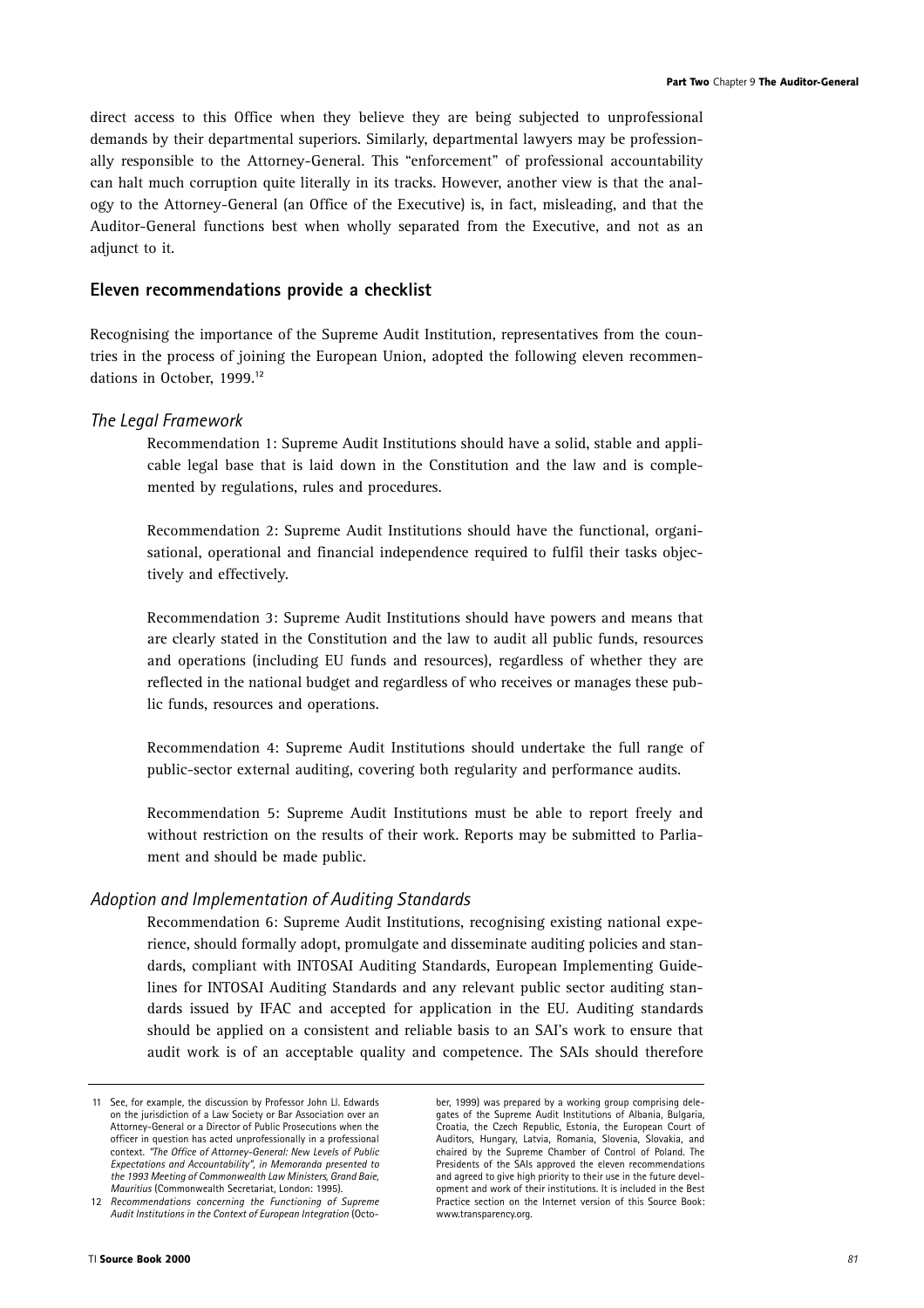direct access to this Office when they believe they are being subjected to unprofessional demands by their departmental superiors. Similarly, departmental lawyers may be professionally responsible to the Attorney-General. This "enforcement" of professional accountability can halt much corruption quite literally in its tracks. However, another view is that the analogy to the Attorney-General (an Office of the Executive) is, in fact, misleading, and that the Auditor-General functions best when wholly separated from the Executive, and not as an adjunct to it.

# **Eleven recommendations provide a checklist**

Recognising the importance of the Supreme Audit Institution, representatives from the countries in the process of joining the European Union, adopted the following eleven recommendations in October, 1999.**<sup>12</sup>**

## *The Legal Framework*

Recommendation 1: Supreme Audit Institutions should have a solid, stable and applicable legal base that is laid down in the Constitution and the law and is complemented by regulations, rules and procedures.

Recommendation 2: Supreme Audit Institutions should have the functional, organisational, operational and financial independence required to fulfil their tasks objectively and effectively.

Recommendation 3: Supreme Audit Institutions should have powers and means that are clearly stated in the Constitution and the law to audit all public funds, resources and operations (including EU funds and resources), regardless of whether they are reflected in the national budget and regardless of who receives or manages these public funds, resources and operations.

Recommendation 4: Supreme Audit Institutions should undertake the full range of public-sector external auditing, covering both regularity and performance audits.

Recommendation 5: Supreme Audit Institutions must be able to report freely and without restriction on the results of their work. Reports may be submitted to Parliament and should be made public.

## *Adoption and Implementation of Auditing Standards*

Recommendation 6: Supreme Audit Institutions, recognising existing national experience, should formally adopt, promulgate and disseminate auditing policies and standards, compliant with INTOSAI Auditing Standards, European Implementing Guidelines for INTOSAI Auditing Standards and any relevant public sector auditing standards issued by IFAC and accepted for application in the EU. Auditing standards should be applied on a consistent and reliable basis to an SAI's work to ensure that audit work is of an acceptable quality and competence. The SAIs should therefore

ber, 1999) was prepared by a working group comprising delegates of the Supreme Audit Institutions of Albania, Bulgaria, Croatia, the Czech Republic, Estonia, the European Court of Auditors, Hungary, Latvia, Romania, Slovenia, Slovakia, and chaired by the Supreme Chamber of Control of Poland. The Presidents of the SAIs approved the eleven recommendations and agreed to give high priority to their use in the future development and work of their institutions. It is included in the Best Practice section on the Internet version of this Source Book: www.transparency.org.

<sup>11</sup> See, for example, the discussion by Professor John Ll. Edwards on the jurisdiction of a Law Society or Bar Association over an Attorney-General or a Director of Public Prosecutions when the officer in question has acted unprofessionally in a professional context. *"The Office of Attorney-General: New Levels of Public Expectations and Accountability", in Memoranda presented to the 1993 Meeting of Commonwealth Law Ministers, Grand Baie, Mauritius* (Commonwealth Secretariat, London: 1995).

<sup>12</sup> *Recommendations concerning the Functioning of Supreme Audit Institutions in the Context of European Integration* (Octo-